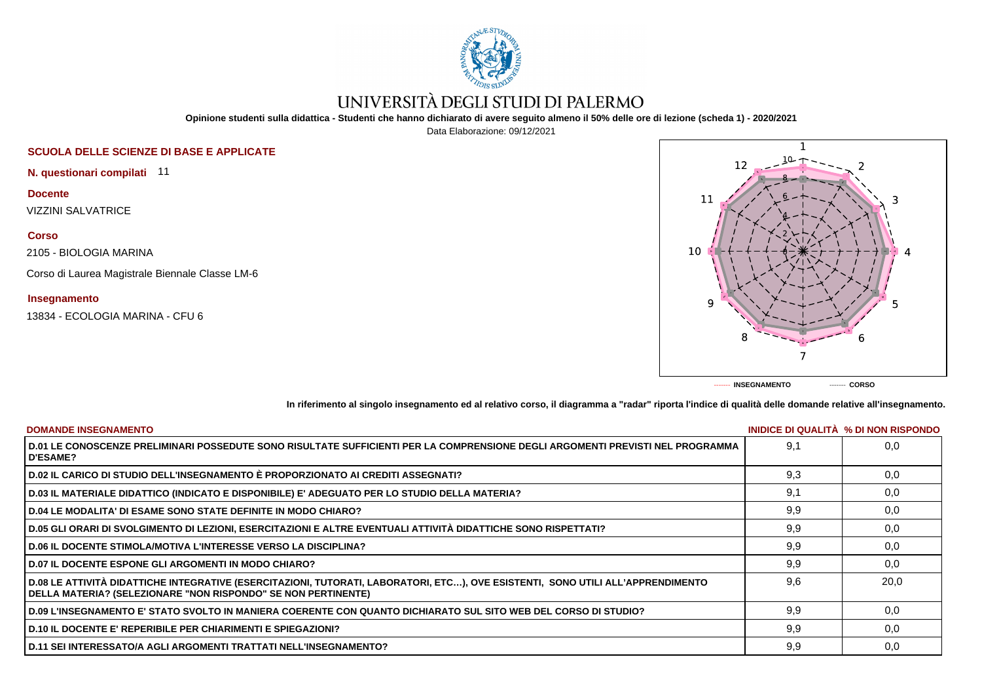

# UNIVERSITÀ DEGLI STUDI DI PALERMO

**Opinione studenti sulla didattica - Studenti che hanno dichiarato di avere seguito almeno il 50% delle ore di lezione (scheda 1) - 2020/2021**

Data Elaborazione: 09/12/2021

# **SCUOLA DELLE SCIENZE DI BASE E APPLICATE**

**N. questionari compilati** 11

**Docente** VIZZINI SALVATRICE

**Corso**

2105 - BIOLOGIA MARINA

Corso di Laurea Magistrale Biennale Classe LM-6

## **Insegnamento**

13834 - ECOLOGIA MARINA - CFU 6



**In riferimento al singolo insegnamento ed al relativo corso, il diagramma a "radar" riporta l'indice di qualità delle domande relative all'insegnamento.**

| <b>DOMANDE INSEGNAMENTO</b>                                                                                                                                                                             |     | INIDICE DI QUALITA % DI NON RISPONDO |
|---------------------------------------------------------------------------------------------------------------------------------------------------------------------------------------------------------|-----|--------------------------------------|
| D.01 LE CONOSCENZE PRELIMINARI POSSEDUTE SONO RISULTATE SUFFICIENTI PER LA COMPRENSIONE DEGLI ARGOMENTI PREVISTI NEL PROGRAMMA<br><b>D'ESAME?</b>                                                       | 9.1 | 0.0                                  |
| D.02 IL CARICO DI STUDIO DELL'INSEGNAMENTO È PROPORZIONATO AI CREDITI ASSEGNATI?                                                                                                                        | 9,3 | 0,0                                  |
| D.03 IL MATERIALE DIDATTICO (INDICATO E DISPONIBILE) E' ADEGUATO PER LO STUDIO DELLA MATERIA?                                                                                                           | 9.1 | 0,0                                  |
| D.04 LE MODALITA' DI ESAME SONO STATE DEFINITE IN MODO CHIARO?                                                                                                                                          | 9,9 | 0,0                                  |
| D.05 GLI ORARI DI SVOLGIMENTO DI LEZIONI, ESERCITAZIONI E ALTRE EVENTUALI ATTIVITÀ DIDATTICHE SONO RISPETTATI?                                                                                          | 9,9 | 0,0                                  |
| <b>D.06 IL DOCENTE STIMOLA/MOTIVA L'INTERESSE VERSO LA DISCIPLINA?</b>                                                                                                                                  | 9,9 | 0,0                                  |
| <b>D.07 IL DOCENTE ESPONE GLI ARGOMENTI IN MODO CHIARO?</b>                                                                                                                                             | 9,9 | 0.0                                  |
| D.08 LE ATTIVITÀ DIDATTICHE INTEGRATIVE (ESERCITAZIONI, TUTORATI, LABORATORI, ETC), OVE ESISTENTI, SONO UTILI ALL'APPRENDIMENTO<br><b>DELLA MATERIA? (SELEZIONARE "NON RISPONDO" SE NON PERTINENTE)</b> | 9.6 | 20.0                                 |
| D.09 L'INSEGNAMENTO E' STATO SVOLTO IN MANIERA COERENTE CON QUANTO DICHIARATO SUL SITO WEB DEL CORSO DI STUDIO?                                                                                         | 9,9 | 0.0                                  |
| D.10 IL DOCENTE E' REPERIBILE PER CHIARIMENTI E SPIEGAZIONI?                                                                                                                                            | 9,9 | 0,0                                  |
| D.11 SEI INTERESSATO/A AGLI ARGOMENTI TRATTATI NELL'INSEGNAMENTO?                                                                                                                                       | 9,9 | 0,0                                  |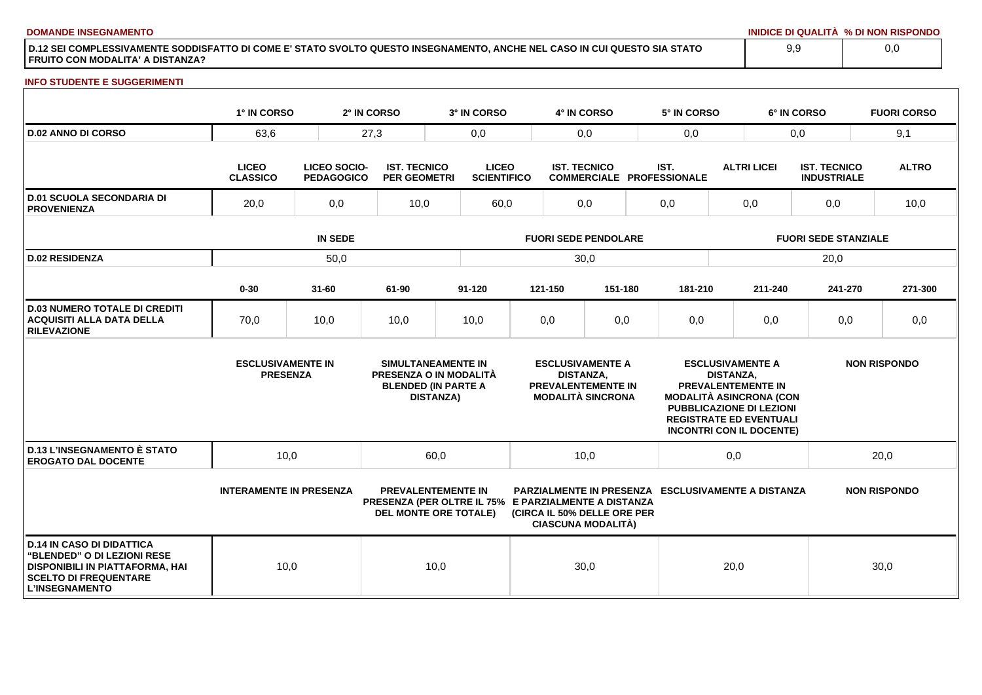**DOMANDE INSEGNAMENTO INIDICE DI QUALITÀ % DI NON RISPONDO**

**D.12 SEI COMPLESSIVAMENTE SODDISFATTO DI COME E' STATO SVOLTO QUESTO INSEGNAMENTO, ANCHE NEL CASO IN CUI QUESTO SIA STATO FRUITO CON MODALITA' A DISTANZA?**

### **INFO STUDENTE E SUGGERIMENTI**

|                                                                                                                                                                    | 1° IN CORSO                                 |                                          | 2° IN CORSO                                | 3° IN CORSO                                                                                                       |     | 4° IN CORSO                                             |                                                                                  | 5° IN CORSO                                               |                    |                                                                                                                                                                                         | 6° IN CORSO                               | <b>FUORI CORSO</b>  |
|--------------------------------------------------------------------------------------------------------------------------------------------------------------------|---------------------------------------------|------------------------------------------|--------------------------------------------|-------------------------------------------------------------------------------------------------------------------|-----|---------------------------------------------------------|----------------------------------------------------------------------------------|-----------------------------------------------------------|--------------------|-----------------------------------------------------------------------------------------------------------------------------------------------------------------------------------------|-------------------------------------------|---------------------|
| <b>D.02 ANNO DI CORSO</b>                                                                                                                                          | 63,6                                        | 27,3                                     |                                            | 0,0                                                                                                               | 0,0 |                                                         |                                                                                  | 0,0                                                       |                    | 0,0                                                                                                                                                                                     |                                           | 9,1                 |
|                                                                                                                                                                    | <b>LICEO</b><br><b>CLASSICO</b>             | <b>LICEO SOCIO-</b><br><b>PEDAGOGICO</b> | <b>IST. TECNICO</b><br><b>PER GEOMETRI</b> | <b>LICEO</b><br><b>SCIENTIFICO</b>                                                                                |     | <b>IST. TECNICO</b><br><b>COMMERCIALE PROFESSIONALE</b> |                                                                                  | IST.                                                      | <b>ALTRI LICEI</b> |                                                                                                                                                                                         | <b>IST. TECNICO</b><br><b>INDUSTRIALE</b> | <b>ALTRO</b>        |
| <b>D.01 SCUOLA SECONDARIA DI</b><br><b>PROVENIENZA</b>                                                                                                             | 20,0<br>0,0                                 |                                          | 10,0                                       | 60,0                                                                                                              | 0,0 |                                                         |                                                                                  | 0,0                                                       |                    | 0,0                                                                                                                                                                                     | 0,0                                       | 10,0                |
|                                                                                                                                                                    |                                             |                                          | <b>FUORI SEDE PENDOLARE</b>                |                                                                                                                   |     |                                                         |                                                                                  | <b>FUORI SEDE STANZIALE</b>                               |                    |                                                                                                                                                                                         |                                           |                     |
| <b>D.02 RESIDENZA</b>                                                                                                                                              |                                             | 50,0                                     |                                            |                                                                                                                   |     | 30,0                                                    |                                                                                  |                                                           |                    |                                                                                                                                                                                         | 20,0                                      |                     |
|                                                                                                                                                                    | $0 - 30$                                    | $31 - 60$                                | 61-90                                      | $91 - 120$                                                                                                        |     | 121-150                                                 | 151-180                                                                          | 181-210                                                   |                    | 211-240                                                                                                                                                                                 | 241-270                                   | 271-300             |
| <b>D.03 NUMERO TOTALE DI CREDITI</b><br><b>ACQUISITI ALLA DATA DELLA</b><br><b>RILEVAZIONE</b>                                                                     | 70,0                                        | 10,0                                     | 10,0                                       | 10,0                                                                                                              |     | 0,0                                                     | 0,0                                                                              | 0,0                                                       |                    | 0,0                                                                                                                                                                                     | 0,0                                       | 0,0                 |
|                                                                                                                                                                    | <b>ESCLUSIVAMENTE IN</b><br><b>PRESENZA</b> |                                          |                                            | SIMULTANEAMENTE IN<br>PRESENZA O IN MODALITÀ<br><b>BLENDED (IN PARTE A</b><br><b>DISTANZA)</b>                    |     | <b>DISTANZA,</b>                                        | <b>ESCLUSIVAMENTE A</b><br><b>PREVALENTEMENTE IN</b><br><b>MODALITÀ SINCRONA</b> |                                                           | <b>DISTANZA.</b>   | <b>ESCLUSIVAMENTE A</b><br>PREVALENTEMENTE IN<br><b>MODALITÀ ASINCRONA (CON</b><br><b>PUBBLICAZIONE DI LEZIONI</b><br><b>REGISTRATE ED EVENTUALI</b><br><b>INCONTRI CON IL DOCENTE)</b> |                                           | <b>NON RISPONDO</b> |
| <b>D.13 L'INSEGNAMENTO È STATO</b><br><b>EROGATO DAL DOCENTE</b>                                                                                                   | 10,0                                        |                                          |                                            | 60,0                                                                                                              |     | 10,0                                                    |                                                                                  |                                                           | 0,0                |                                                                                                                                                                                         |                                           | 20,0                |
|                                                                                                                                                                    | <b>INTERAMENTE IN PRESENZA</b>              |                                          |                                            | <b>PREVALENTEMENTE IN</b><br>PRESENZA (PER OLTRE IL 75% E PARZIALMENTE A DISTANZA<br><b>DEL MONTE ORE TOTALE)</b> |     |                                                         | (CIRCA IL 50% DELLE ORE PER<br><b>CIASCUNA MODALITÀ)</b>                         | <b>PARZIALMENTE IN PRESENZA ESCLUSIVAMENTE A DISTANZA</b> |                    |                                                                                                                                                                                         |                                           | <b>NON RISPONDO</b> |
| <b>D.14 IN CASO DI DIDATTICA</b><br><b>"BLENDED" O DI LEZIONI RESE</b><br>DISPONIBILI IN PIATTAFORMA, HAI<br><b>SCELTO DI FREQUENTARE</b><br><b>L'INSEGNAMENTO</b> | 10,0                                        |                                          |                                            | 10,0                                                                                                              |     | 30,0                                                    |                                                                                  |                                                           | 20,0               |                                                                                                                                                                                         |                                           | 30,0                |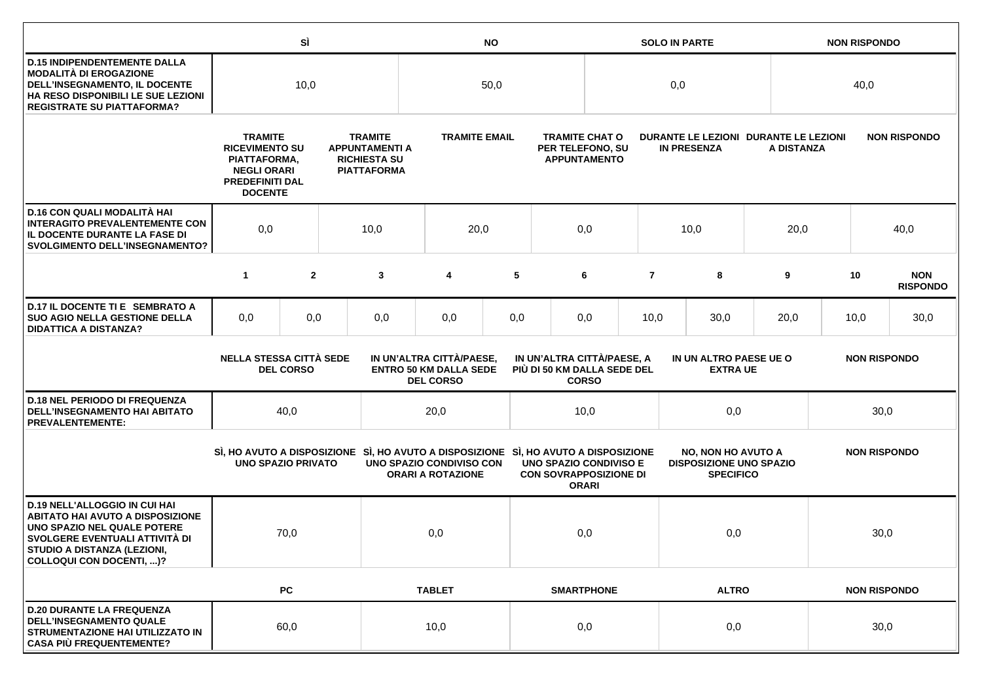|                                                                                                                                                                                                             |                                                                                                                                                                                                                  | SÌ             |  |                                                                                      |                                                                  | <b>NO</b>         |                                                                  |              |                                                             | <b>SOLO IN PARTE</b>                                                            |      |                     |      | <b>NON RISPONDO</b> |                               |                     |  |
|-------------------------------------------------------------------------------------------------------------------------------------------------------------------------------------------------------------|------------------------------------------------------------------------------------------------------------------------------------------------------------------------------------------------------------------|----------------|--|--------------------------------------------------------------------------------------|------------------------------------------------------------------|-------------------|------------------------------------------------------------------|--------------|-------------------------------------------------------------|---------------------------------------------------------------------------------|------|---------------------|------|---------------------|-------------------------------|---------------------|--|
| <b>D.15 INDIPENDENTEMENTE DALLA</b><br><b>MODALITÀ DI EROGAZIONE</b><br>DELL'INSEGNAMENTO, IL DOCENTE<br>HA RESO DISPONIBILI LE SUE LEZIONI<br><b>REGISTRATE SU PIATTAFORMA?</b>                            | 10,0                                                                                                                                                                                                             |                |  |                                                                                      | 50,0                                                             |                   |                                                                  |              | 0,0                                                         |                                                                                 |      |                     | 40,0 |                     |                               |                     |  |
|                                                                                                                                                                                                             | <b>TRAMITE</b><br><b>RICEVIMENTO SU</b><br>PIATTAFORMA,<br><b>NEGLI ORARI</b><br><b>PREDEFINITI DAL</b><br><b>DOCENTE</b>                                                                                        |                |  | <b>TRAMITE</b><br><b>APPUNTAMENTI A</b><br><b>RICHIESTA SU</b><br><b>PIATTAFORMA</b> | <b>TRAMITE EMAIL</b>                                             |                   | <b>TRAMITE CHAT O</b><br>PER TELEFONO, SU<br><b>APPUNTAMENTO</b> |              | DURANTE LE LEZIONI DURANTE LE LEZIONI<br><b>IN PRESENZA</b> |                                                                                 |      | A DISTANZA          |      | <b>NON RISPONDO</b> |                               |                     |  |
| D.16 CON QUALI MODALITÀ HAI<br><b>INTERAGITO PREVALENTEMENTE CON</b><br>IL DOCENTE DURANTE LA FASE DI<br><b>SVOLGIMENTO DELL'INSEGNAMENTO?</b>                                                              | 0,0                                                                                                                                                                                                              |                |  | 10,0                                                                                 | 20,0                                                             |                   |                                                                  | 0,0          |                                                             | 10,0                                                                            |      | 20,0                |      |                     | 40,0                          |                     |  |
|                                                                                                                                                                                                             | $\mathbf{1}$                                                                                                                                                                                                     | $\overline{2}$ |  | 3                                                                                    | 4                                                                | 5                 |                                                                  | 6            | $\overline{7}$                                              |                                                                                 | 8    | 9                   |      | 10                  | <b>NON</b><br><b>RISPONDO</b> |                     |  |
| D.17 IL DOCENTE TI E SEMBRATO A<br><b>SUO AGIO NELLA GESTIONE DELLA</b><br><b>DIDATTICA A DISTANZA?</b>                                                                                                     | 0,0                                                                                                                                                                                                              | 0,0            |  | 0,0                                                                                  | 0,0                                                              | 0,0               |                                                                  | 0,0          | 10,0<br>30,0                                                |                                                                                 | 20,0 |                     | 10,0 | 30,0                |                               |                     |  |
|                                                                                                                                                                                                             | <b>NELLA STESSA CITTÀ SEDE</b><br>IN UN'ALTRA CITTÀ/PAESE,<br>IN UN'ALTRA CITTÀ/PAESE, A<br><b>ENTRO 50 KM DALLA SEDE</b><br>PIÙ DI 50 KM DALLA SEDE DEL<br><b>DEL CORSO</b><br><b>DEL CORSO</b><br><b>CORSO</b> |                |  |                                                                                      | IN UN ALTRO PAESE UE O<br><b>NON RISPONDO</b><br><b>EXTRA UE</b> |                   |                                                                  |              |                                                             |                                                                                 |      |                     |      |                     |                               |                     |  |
| <b>D.18 NEL PERIODO DI FREQUENZA</b><br>DELL'INSEGNAMENTO HAI ABITATO<br><b>PREVALENTEMENTE:</b>                                                                                                            |                                                                                                                                                                                                                  | 40,0           |  |                                                                                      | 20,0                                                             |                   |                                                                  | 10,0         |                                                             | 0,0                                                                             |      |                     | 30,0 |                     |                               |                     |  |
|                                                                                                                                                                                                             | <b>UNO SPAZIO PRIVATO</b>                                                                                                                                                                                        |                |  | SI, HO AVUTO A DISPOSIZIONE SI, HO AVUTO A DISPOSIZIONE SI, HO AVUTO A DISPOSIZIONE  | UNO SPAZIO CONDIVISO CON<br><b>ORARI A ROTAZIONE</b>             |                   | UNO SPAZIO CONDIVISO E<br><b>CON SOVRAPPOSIZIONE DI</b>          | <b>ORARI</b> |                                                             | <b>NO, NON HO AVUTO A</b><br><b>DISPOSIZIONE UNO SPAZIO</b><br><b>SPECIFICO</b> |      |                     |      |                     |                               | <b>NON RISPONDO</b> |  |
| <b>D.19 NELL'ALLOGGIO IN CUI HAI</b><br><b>ABITATO HAI AVUTO A DISPOSIZIONE</b><br>UNO SPAZIO NEL QUALE POTERE<br>SVOLGERE EVENTUALI ATTIVITÀ DI<br>STUDIO A DISTANZA (LEZIONI,<br>COLLOQUI CON DOCENTI, )? |                                                                                                                                                                                                                  | 70,0           |  |                                                                                      | 0,0                                                              |                   | 0,0                                                              |              |                                                             | 0,0                                                                             |      |                     |      | 30,0                |                               |                     |  |
|                                                                                                                                                                                                             |                                                                                                                                                                                                                  | PC             |  |                                                                                      | <b>TABLET</b>                                                    | <b>SMARTPHONE</b> |                                                                  | <b>ALTRO</b> |                                                             |                                                                                 |      | <b>NON RISPONDO</b> |      |                     |                               |                     |  |
| <b>D.20 DURANTE LA FREQUENZA</b><br><b>DELL'INSEGNAMENTO QUALE</b><br>STRUMENTAZIONE HAI UTILIZZATO IN<br><b>CASA PIÙ FREQUENTEMENTE?</b>                                                                   |                                                                                                                                                                                                                  | 60,0           |  |                                                                                      | 10,0                                                             |                   |                                                                  | 0,0          | 0,0                                                         |                                                                                 |      |                     | 30,0 |                     |                               |                     |  |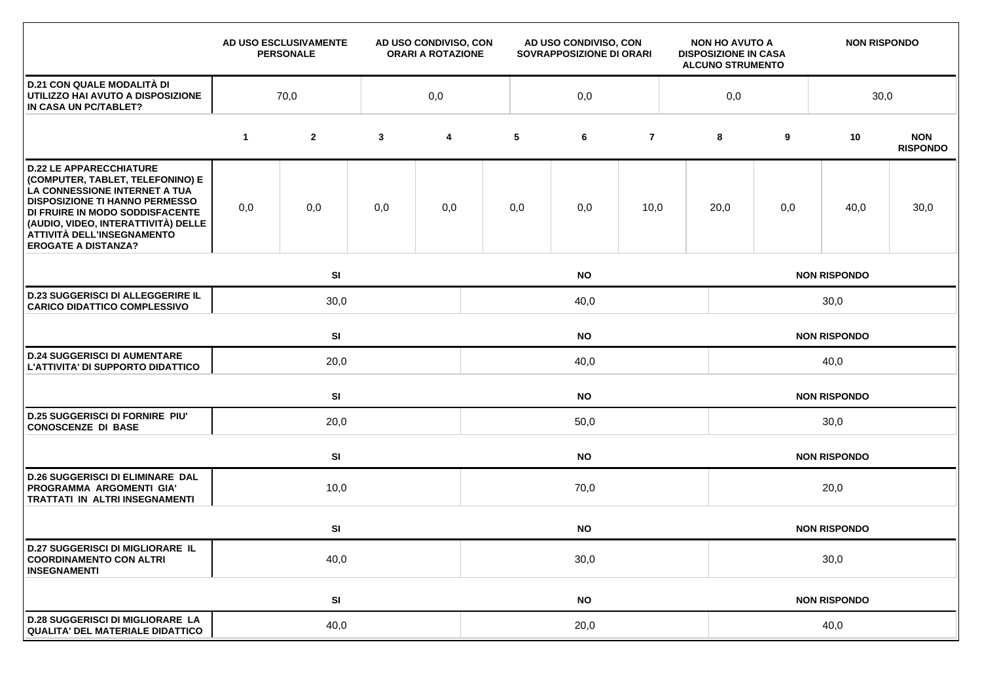|                                                                                                                                                                                                                                                                                    |              | AD USO ESCLUSIVAMENTE<br><b>PERSONALE</b> |              | AD USO CONDIVISO, CON<br><b>ORARI A ROTAZIONE</b> |           | AD USO CONDIVISO, CON<br>SOVRAPPOSIZIONE DI ORARI |                |                     | <b>NON HO AVUTO A</b><br><b>DISPOSIZIONE IN CASA</b><br><b>ALCUNO STRUMENTO</b> |                     | <b>NON RISPONDO</b> |                               |  |  |  |
|------------------------------------------------------------------------------------------------------------------------------------------------------------------------------------------------------------------------------------------------------------------------------------|--------------|-------------------------------------------|--------------|---------------------------------------------------|-----------|---------------------------------------------------|----------------|---------------------|---------------------------------------------------------------------------------|---------------------|---------------------|-------------------------------|--|--|--|
| <b>D.21 CON QUALE MODALITÀ DI</b><br>UTILIZZO HAI AVUTO A DISPOSIZIONE<br>IN CASA UN PC/TABLET?                                                                                                                                                                                    | 0,0<br>70,0  |                                           |              |                                                   | 0,0       |                                                   |                |                     |                                                                                 | 0,0<br>30,0         |                     |                               |  |  |  |
|                                                                                                                                                                                                                                                                                    | $\mathbf{1}$ | $\mathbf{2}$                              | $\mathbf{3}$ | 4                                                 | 5         | 6                                                 | $\overline{7}$ |                     | 8                                                                               | 9                   | 10                  | <b>NON</b><br><b>RISPONDO</b> |  |  |  |
| <b>D.22 LE APPARECCHIATURE</b><br>(COMPUTER, TABLET, TELEFONINO) E<br>LA CONNESSIONE INTERNET A TUA<br><b>DISPOSIZIONE TI HANNO PERMESSO</b><br>DI FRUIRE IN MODO SODDISFACENTE<br>(AUDIO, VIDEO, INTERATTIVITÀ) DELLE<br>ATTIVITÀ DELL'INSEGNAMENTO<br><b>EROGATE A DISTANZA?</b> | 0,0          | 0,0                                       | 0,0          | 0,0                                               | 0,0       | 0,0                                               | 10,0           |                     | 20,0                                                                            | 0,0                 | 40,0                | 30,0                          |  |  |  |
|                                                                                                                                                                                                                                                                                    |              | SI                                        |              |                                                   |           | <b>NO</b>                                         |                |                     | <b>NON RISPONDO</b>                                                             |                     |                     |                               |  |  |  |
| <b>D.23 SUGGERISCI DI ALLEGGERIRE IL</b><br><b>CARICO DIDATTICO COMPLESSIVO</b>                                                                                                                                                                                                    |              | 30,0<br>40,0                              |              |                                                   |           |                                                   |                |                     | 30,0                                                                            |                     |                     |                               |  |  |  |
|                                                                                                                                                                                                                                                                                    |              | SI<br><b>NO</b>                           |              |                                                   |           |                                                   |                |                     | <b>NON RISPONDO</b>                                                             |                     |                     |                               |  |  |  |
| <b>D.24 SUGGERISCI DI AUMENTARE</b><br>L'ATTIVITA' DI SUPPORTO DIDATTICO                                                                                                                                                                                                           |              | 20,0                                      |              |                                                   | 40,0      |                                                   |                |                     |                                                                                 | 40,0                |                     |                               |  |  |  |
|                                                                                                                                                                                                                                                                                    |              | SI                                        |              |                                                   | <b>NO</b> |                                                   |                |                     |                                                                                 |                     | <b>NON RISPONDO</b> |                               |  |  |  |
| <b>D.25 SUGGERISCI DI FORNIRE PIU'</b><br><b>CONOSCENZE DI BASE</b>                                                                                                                                                                                                                |              | 20,0                                      |              |                                                   | 50,0      |                                                   |                |                     |                                                                                 | 30,0                |                     |                               |  |  |  |
|                                                                                                                                                                                                                                                                                    |              | SI                                        |              | <b>NO</b>                                         |           |                                                   |                |                     |                                                                                 | <b>NON RISPONDO</b> |                     |                               |  |  |  |
| <b>D.26 SUGGERISCI DI ELIMINARE DAL</b><br>PROGRAMMA ARGOMENTI GIA'<br>TRATTATI IN ALTRI INSEGNAMENTI                                                                                                                                                                              |              | 10,0                                      |              |                                                   | 70,0      |                                                   |                |                     |                                                                                 | 20,0                |                     |                               |  |  |  |
|                                                                                                                                                                                                                                                                                    |              | SI<br><b>NO</b>                           |              |                                                   |           |                                                   |                | <b>NON RISPONDO</b> |                                                                                 |                     |                     |                               |  |  |  |
| <b>D.27 SUGGERISCI DI MIGLIORARE IL</b><br><b>COORDINAMENTO CON ALTRI</b><br><b>INSEGNAMENTI</b>                                                                                                                                                                                   | 40,0         |                                           |              |                                                   | 30,0      |                                                   |                |                     |                                                                                 | 30,0                |                     |                               |  |  |  |
|                                                                                                                                                                                                                                                                                    |              | SI                                        |              |                                                   |           | <b>NO</b>                                         |                |                     |                                                                                 |                     | <b>NON RISPONDO</b> |                               |  |  |  |
| <b>D.28 SUGGERISCI DI MIGLIORARE LA</b><br><b>QUALITA' DEL MATERIALE DIDATTICO</b>                                                                                                                                                                                                 | 40,0         |                                           |              |                                                   | 20,0      |                                                   |                |                     |                                                                                 | 40,0                |                     |                               |  |  |  |